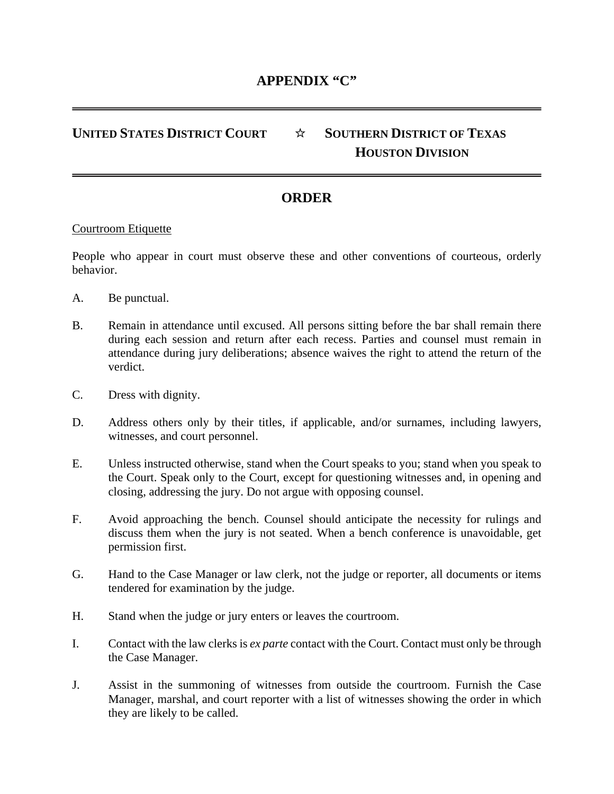## **UNITED STATES DISTRICT COURT** ☆ **SOUTHERN DISTRICT OF TEXAS HOUSTON DIVISION**

## **ORDER**

## Courtroom Etiquette

People who appear in court must observe these and other conventions of courteous, orderly behavior.

- A. Be punctual.
- B. Remain in attendance until excused. All persons sitting before the bar shall remain there during each session and return after each recess. Parties and counsel must remain in attendance during jury deliberations; absence waives the right to attend the return of the verdict.
- C. Dress with dignity.
- D. Address others only by their titles, if applicable, and/or surnames, including lawyers, witnesses, and court personnel.
- E. Unless instructed otherwise, stand when the Court speaks to you; stand when you speak to the Court. Speak only to the Court, except for questioning witnesses and, in opening and closing, addressing the jury. Do not argue with opposing counsel.
- F. Avoid approaching the bench. Counsel should anticipate the necessity for rulings and discuss them when the jury is not seated. When a bench conference is unavoidable, get permission first.
- G. Hand to the Case Manager or law clerk, not the judge or reporter, all documents or items tendered for examination by the judge.
- H. Stand when the judge or jury enters or leaves the courtroom.
- I. Contact with the law clerks is *ex parte* contact with the Court. Contact must only be through the Case Manager.
- J. Assist in the summoning of witnesses from outside the courtroom. Furnish the Case Manager, marshal, and court reporter with a list of witnesses showing the order in which they are likely to be called.